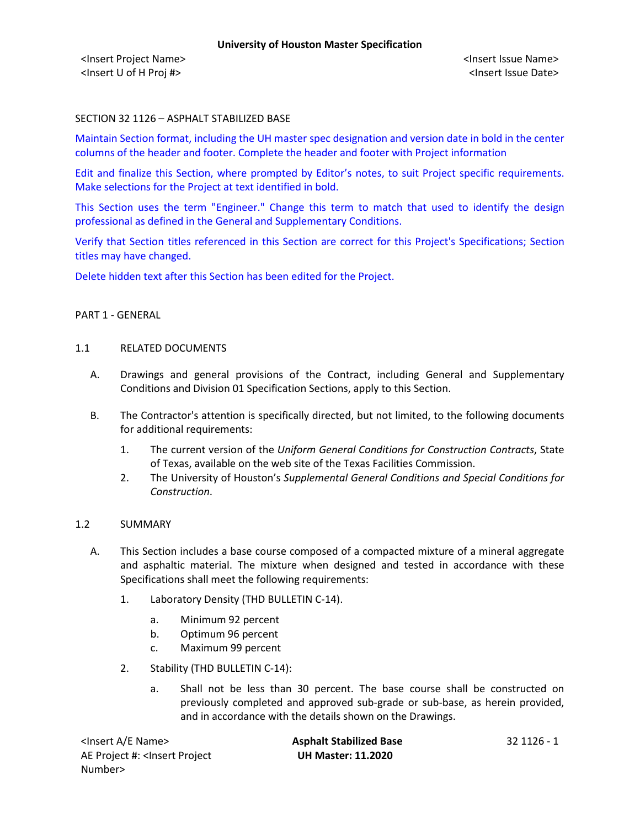<Insert Project Name> <Insert Issue Name> <Insert U of H Proj #> <Insert Issue Date>

## SECTION 32 1126 – ASPHALT STABILIZED BASE

Maintain Section format, including the UH master spec designation and version date in bold in the center columns of the header and footer. Complete the header and footer with Project information

Edit and finalize this Section, where prompted by Editor's notes, to suit Project specific requirements. Make selections for the Project at text identified in bold.

This Section uses the term "Engineer." Change this term to match that used to identify the design professional as defined in the General and Supplementary Conditions.

Verify that Section titles referenced in this Section are correct for this Project's Specifications; Section titles may have changed.

Delete hidden text after this Section has been edited for the Project.

### PART 1 - GENERAL

#### 1.1 RELATED DOCUMENTS

- A. Drawings and general provisions of the Contract, including General and Supplementary Conditions and Division 01 Specification Sections, apply to this Section.
- B. The Contractor's attention is specifically directed, but not limited, to the following documents for additional requirements:
	- 1. The current version of the *Uniform General Conditions for Construction Contracts*, State of Texas, available on the web site of the Texas Facilities Commission.
	- 2. The University of Houston's *Supplemental General Conditions and Special Conditions for Construction*.

### 1.2 SUMMARY

- A. This Section includes a base course composed of a compacted mixture of a mineral aggregate and asphaltic material. The mixture when designed and tested in accordance with these Specifications shall meet the following requirements:
	- 1. Laboratory Density (THD BULLETIN C-14).
		- a. Minimum 92 percent
		- b. Optimum 96 percent
		- c. Maximum 99 percent
	- 2. Stability (THD BULLETIN C-14):
		- a. Shall not be less than 30 percent. The base course shall be constructed on previously completed and approved sub-grade or sub-base, as herein provided, and in accordance with the details shown on the Drawings.

AE Project #: <Insert Project Number>

<Insert A/E Name> **Asphalt Stabilized Base** 32 1126 - 1 **UH Master: 11.2020**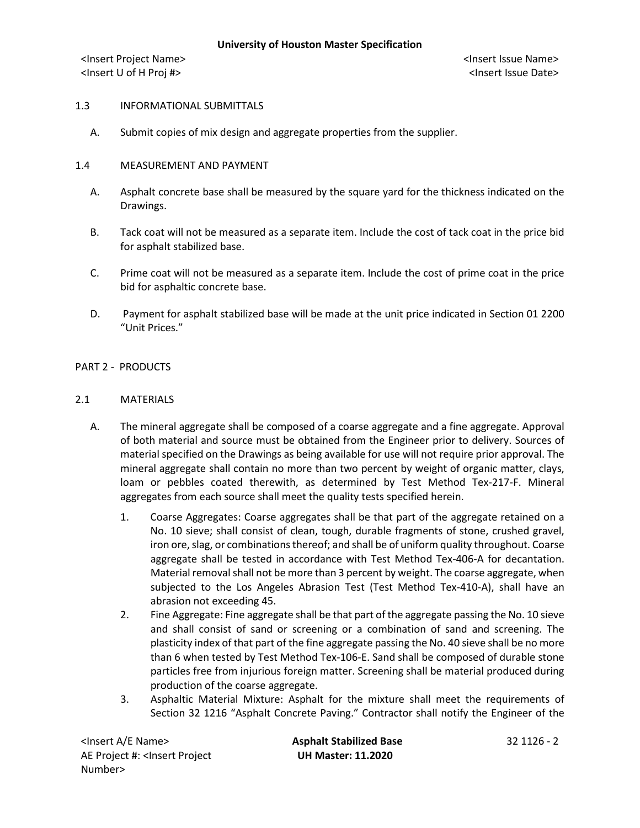<Insert Project Name> <Insert Issue Name> <Insert U of H Proj #> <Insert Issue Date>

### 1.3 INFORMATIONAL SUBMITTALS

A. Submit copies of mix design and aggregate properties from the supplier.

## 1.4 MEASUREMENT AND PAYMENT

- A. Asphalt concrete base shall be measured by the square yard for the thickness indicated on the Drawings.
- B. Tack coat will not be measured as a separate item. Include the cost of tack coat in the price bid for asphalt stabilized base.
- C. Prime coat will not be measured as a separate item. Include the cost of prime coat in the price bid for asphaltic concrete base.
- D. Payment for asphalt stabilized base will be made at the unit price indicated in Section 01 2200 "Unit Prices."

## PART 2 - PRODUCTS

## 2.1 MATERIALS

- A. The mineral aggregate shall be composed of a coarse aggregate and a fine aggregate. Approval of both material and source must be obtained from the Engineer prior to delivery. Sources of material specified on the Drawings as being available for use will not require prior approval. The mineral aggregate shall contain no more than two percent by weight of organic matter, clays, loam or pebbles coated therewith, as determined by Test Method Tex-217-F. Mineral aggregates from each source shall meet the quality tests specified herein.
	- 1. Coarse Aggregates: Coarse aggregates shall be that part of the aggregate retained on a No. 10 sieve; shall consist of clean, tough, durable fragments of stone, crushed gravel, iron ore, slag, or combinations thereof; and shall be of uniform quality throughout. Coarse aggregate shall be tested in accordance with Test Method Tex-406-A for decantation. Material removal shall not be more than 3 percent by weight. The coarse aggregate, when subjected to the Los Angeles Abrasion Test (Test Method Tex-410-A), shall have an abrasion not exceeding 45.
	- 2. Fine Aggregate: Fine aggregate shall be that part of the aggregate passing the No. 10 sieve and shall consist of sand or screening or a combination of sand and screening. The plasticity index of that part of the fine aggregate passing the No. 40 sieve shall be no more than 6 when tested by Test Method Tex-106-E. Sand shall be composed of durable stone particles free from injurious foreign matter. Screening shall be material produced during production of the coarse aggregate.
	- 3. Asphaltic Material Mixture: Asphalt for the mixture shall meet the requirements of Section 32 1216 "Asphalt Concrete Paving." Contractor shall notify the Engineer of the

<Insert A/E Name> **Asphalt Stabilized Base** 32 1126 - 2 AE Project #: <Insert Project Number>

**UH Master: 11.2020**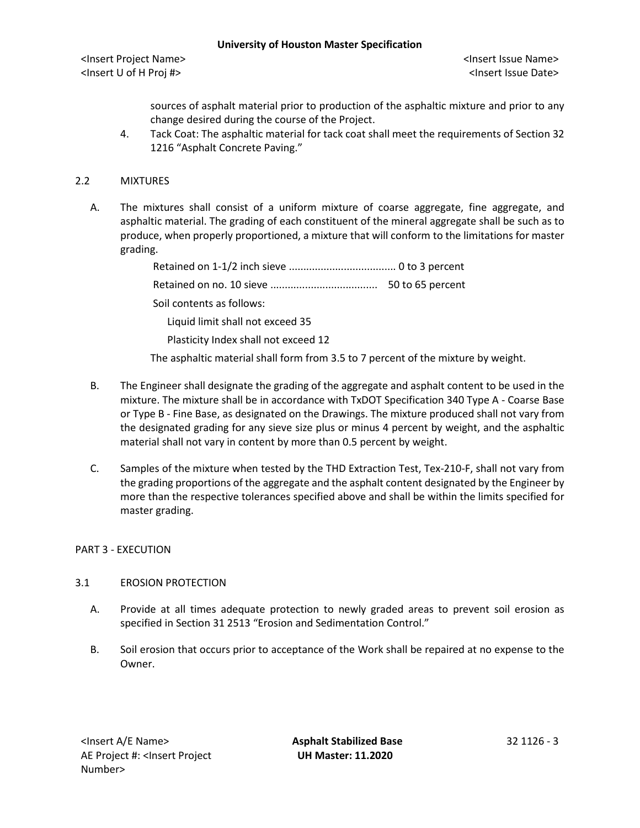### **University of Houston Master Specification**

<Insert Project Name> <Insert Issue Name> <Insert U of H Proj #> <Insert Issue Date>

sources of asphalt material prior to production of the asphaltic mixture and prior to any change desired during the course of the Project.

4. Tack Coat: The asphaltic material for tack coat shall meet the requirements of Section 32 1216 "Asphalt Concrete Paving."

# 2.2 MIXTURES

A. The mixtures shall consist of a uniform mixture of coarse aggregate, fine aggregate, and asphaltic material. The grading of each constituent of the mineral aggregate shall be such as to produce, when properly proportioned, a mixture that will conform to the limitations for master grading.

| Soil contents as follows:                                                                                   |  |
|-------------------------------------------------------------------------------------------------------------|--|
| Liquid limit shall not exceed 35                                                                            |  |
| Plasticity Index shall not exceed 12                                                                        |  |
| This is a subsidiary constant of a black forms from $\alpha$ Fits. The constant of the contribution $\beta$ |  |

The asphaltic material shall form from 3.5 to 7 percent of the mixture by weight.

- B. The Engineer shall designate the grading of the aggregate and asphalt content to be used in the mixture. The mixture shall be in accordance with TxDOT Specification 340 Type A - Coarse Base or Type B - Fine Base, as designated on the Drawings. The mixture produced shall not vary from the designated grading for any sieve size plus or minus 4 percent by weight, and the asphaltic material shall not vary in content by more than 0.5 percent by weight.
- C. Samples of the mixture when tested by the THD Extraction Test, Tex-210-F, shall not vary from the grading proportions of the aggregate and the asphalt content designated by the Engineer by more than the respective tolerances specified above and shall be within the limits specified for master grading.

## PART 3 - EXECUTION

## 3.1 EROSION PROTECTION

- A. Provide at all times adequate protection to newly graded areas to prevent soil erosion as specified in Section 31 2513 "Erosion and Sedimentation Control."
- B. Soil erosion that occurs prior to acceptance of the Work shall be repaired at no expense to the Owner.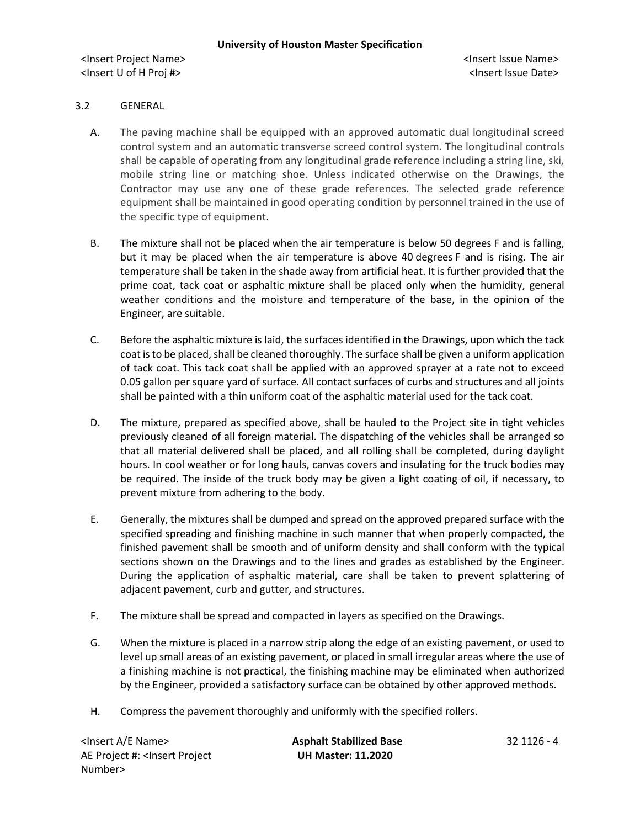## 3.2 GENERAL

- A. The paving machine shall be equipped with an approved automatic dual longitudinal screed control system and an automatic transverse screed control system. The longitudinal controls shall be capable of operating from any longitudinal grade reference including a string line, ski, mobile string line or matching shoe. Unless indicated otherwise on the Drawings, the Contractor may use any one of these grade references. The selected grade reference equipment shall be maintained in good operating condition by personnel trained in the use of the specific type of equipment.
- B. The mixture shall not be placed when the air temperature is below 50 degrees F and is falling, but it may be placed when the air temperature is above 40 degrees F and is rising. The air temperature shall be taken in the shade away from artificial heat. It is further provided that the prime coat, tack coat or asphaltic mixture shall be placed only when the humidity, general weather conditions and the moisture and temperature of the base, in the opinion of the Engineer, are suitable.
- C. Before the asphaltic mixture is laid, the surfaces identified in the Drawings, upon which the tack coat is to be placed, shall be cleaned thoroughly. The surface shall be given a uniform application of tack coat. This tack coat shall be applied with an approved sprayer at a rate not to exceed 0.05 gallon per square yard of surface. All contact surfaces of curbs and structures and all joints shall be painted with a thin uniform coat of the asphaltic material used for the tack coat.
- D. The mixture, prepared as specified above, shall be hauled to the Project site in tight vehicles previously cleaned of all foreign material. The dispatching of the vehicles shall be arranged so that all material delivered shall be placed, and all rolling shall be completed, during daylight hours. In cool weather or for long hauls, canvas covers and insulating for the truck bodies may be required. The inside of the truck body may be given a light coating of oil, if necessary, to prevent mixture from adhering to the body.
- E. Generally, the mixtures shall be dumped and spread on the approved prepared surface with the specified spreading and finishing machine in such manner that when properly compacted, the finished pavement shall be smooth and of uniform density and shall conform with the typical sections shown on the Drawings and to the lines and grades as established by the Engineer. During the application of asphaltic material, care shall be taken to prevent splattering of adjacent pavement, curb and gutter, and structures.
- F. The mixture shall be spread and compacted in layers as specified on the Drawings.
- G. When the mixture is placed in a narrow strip along the edge of an existing pavement, or used to level up small areas of an existing pavement, or placed in small irregular areas where the use of a finishing machine is not practical, the finishing machine may be eliminated when authorized by the Engineer, provided a satisfactory surface can be obtained by other approved methods.
- H. Compress the pavement thoroughly and uniformly with the specified rollers.

<Insert A/E Name> **Asphalt Stabilized Base** 32 1126 - 4 AE Project #: <Insert Project Number>

**UH Master: 11.2020**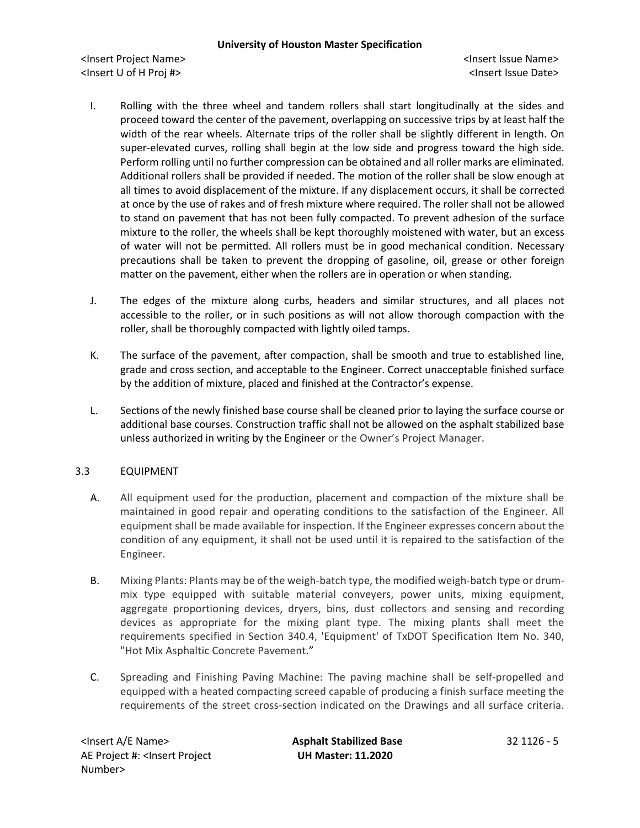<Insert Project Name> <Insert Issue Name> <Insert U of H Proj #> <Insert Issue Date>

- I. Rolling with the three wheel and tandem rollers shall start longitudinally at the sides and proceed toward the center of the pavement, overlapping on successive trips by at least half the width of the rear wheels. Alternate trips of the roller shall be slightly different in length. On super-elevated curves, rolling shall begin at the low side and progress toward the high side. Perform rolling until no further compression can be obtained and all roller marks are eliminated. Additional rollers shall be provided if needed. The motion of the roller shall be slow enough at all times to avoid displacement of the mixture. If any displacement occurs, it shall be corrected at once by the use of rakes and of fresh mixture where required. The roller shall not be allowed to stand on pavement that has not been fully compacted. To prevent adhesion of the surface mixture to the roller, the wheels shall be kept thoroughly moistened with water, but an excess of water will not be permitted. All rollers must be in good mechanical condition. Necessary precautions shall be taken to prevent the dropping of gasoline, oil, grease or other foreign matter on the pavement, either when the rollers are in operation or when standing.
- J. The edges of the mixture along curbs, headers and similar structures, and all places not accessible to the roller, or in such positions as will not allow thorough compaction with the roller, shall be thoroughly compacted with lightly oiled tamps.
- K. The surface of the pavement, after compaction, shall be smooth and true to established line, grade and cross section, and acceptable to the Engineer. Correct unacceptable finished surface by the addition of mixture, placed and finished at the Contractor's expense.
- L. Sections of the newly finished base course shall be cleaned prior to laying the surface course or additional base courses. Construction traffic shall not be allowed on the asphalt stabilized base unless authorized in writing by the Engineer or the Owner's Project Manager.

## 3.3 EQUIPMENT

- A. All equipment used for the production, placement and compaction of the mixture shall be maintained in good repair and operating conditions to the satisfaction of the Engineer. All equipment shall be made available for inspection. If the Engineer expresses concern about the condition of any equipment, it shall not be used until it is repaired to the satisfaction of the Engineer.
- B. Mixing Plants: Plants may be of the weigh-batch type, the modified weigh-batch type or drummix type equipped with suitable material conveyers, power units, mixing equipment, aggregate proportioning devices, dryers, bins, dust collectors and sensing and recording devices as appropriate for the mixing plant type. The mixing plants shall meet the requirements specified in Section 340.4, 'Equipment' of TxDOT Specification Item No. 340, "Hot Mix Asphaltic Concrete Pavement."
- C. Spreading and Finishing Paving Machine: The paving machine shall be self-propelled and equipped with a heated compacting screed capable of producing a finish surface meeting the requirements of the street cross-section indicated on the Drawings and all surface criteria.

<Insert A/E Name> **Asphalt Stabilized Base** 32 1126 - 5 AE Project #: <Insert Project Number>

**UH Master: 11.2020**